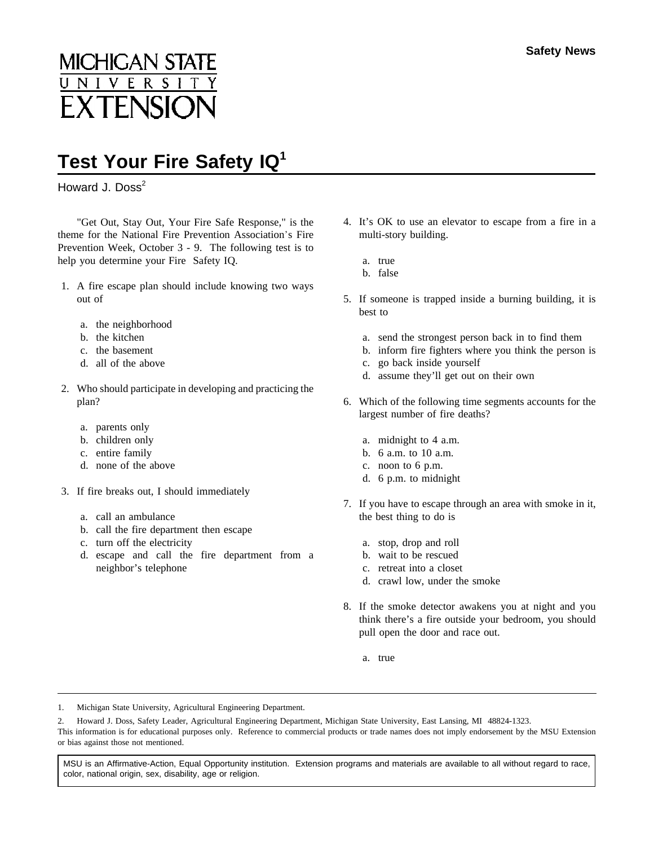## **MICHIGAN STATE** NIVERSIT **EXTENSION**

## **Test Your Fire Safety IQ<sup>1</sup>**

Howard J. Doss<sup>2</sup>

"Get Out, Stay Out, Your Fire Safe Response," is the theme for the National Fire Prevention Association's Fire Prevention Week, October 3 - 9. The following test is to help you determine your Fire Safety IQ.

- 1. A fire escape plan should include knowing two ways out of
	- a. the neighborhood
	- b. the kitchen
	- c. the basement
	- d. all of the above
- 2. Who should participate in developing and practicing the plan?
	- a. parents only
	- b. children only
	- c. entire family
	- d. none of the above
- 3. If fire breaks out, I should immediately
	- a. call an ambulance
	- b. call the fire department then escape
	- c. turn off the electricity
	- d. escape and call the fire department from a neighbor's telephone
- 4. It's OK to use an elevator to escape from a fire in a multi-story building.
	- a. true
	- b. false
- 5. If someone is trapped inside a burning building, it is best to
	- a. send the strongest person back in to find them
	- b. inform fire fighters where you think the person is
	- c. go back inside yourself
	- d. assume they'll get out on their own
- 6. Which of the following time segments accounts for the largest number of fire deaths?
	- a. midnight to 4 a.m.
	- b. 6 a.m. to 10 a.m.
	- c. noon to 6 p.m.
	- d. 6 p.m. to midnight
- 7. If you have to escape through an area with smoke in it, the best thing to do is
	- a. stop, drop and roll
	- b. wait to be rescued
	- c. retreat into a closet
	- d. crawl low, under the smoke
- 8. If the smoke detector awakens you at night and you think there's a fire outside your bedroom, you should pull open the door and race out.
	- a. true

1. Michigan State University, Agricultural Engineering Department.

2. Howard J. Doss, Safety Leader, Agricultural Engineering Department, Michigan State University, East Lansing, MI 48824-1323. This information is for educational purposes only. Reference to commercial products or trade names does not imply endorsement by the MSU Extension or bias against those not mentioned.

MSU is an Affirmative-Action, Equal Opportunity institution. Extension programs and materials are available to all without regard to race, color, national origin, sex, disability, age or religion.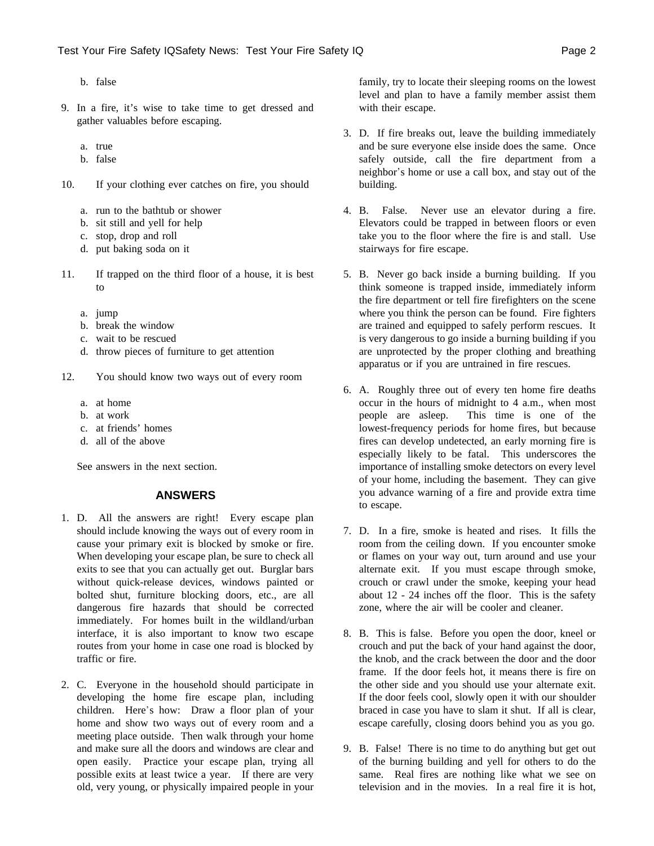- b. false
- 9. In a fire, it's wise to take time to get dressed and gather valuables before escaping.
	- a. true
	- b. false
- 10. If your clothing ever catches on fire, you should
	- a. run to the bathtub or shower
	- b. sit still and yell for help
	- c. stop, drop and roll
	- d. put baking soda on it
- 11. If trapped on the third floor of a house, it is best to
	- a. jump
	- b. break the window
	- c. wait to be rescued
	- d. throw pieces of furniture to get attention
- 12. You should know two ways out of every room
	- a. at home
	- b. at work
	- c. at friends' homes
	- d. all of the above

See answers in the next section.

## **ANSWERS**

- 1. D. All the answers are right! Every escape plan should include knowing the ways out of every room in cause your primary exit is blocked by smoke or fire. When developing your escape plan, be sure to check all exits to see that you can actually get out. Burglar bars without quick-release devices, windows painted or bolted shut, furniture blocking doors, etc., are all dangerous fire hazards that should be corrected immediately. For homes built in the wildland/urban interface, it is also important to know two escape routes from your home in case one road is blocked by traffic or fire.
- 2. C. Everyone in the household should participate in developing the home fire escape plan, including children. Here's how: Draw a floor plan of your home and show two ways out of every room and a meeting place outside. Then walk through your home and make sure all the doors and windows are clear and open easily. Practice your escape plan, trying all possible exits at least twice a year. If there are very old, very young, or physically impaired people in your

family, try to locate their sleeping rooms on the lowest level and plan to have a family member assist them with their escape.

- 3. D. If fire breaks out, leave the building immediately and be sure everyone else inside does the same. Once safely outside, call the fire department from a neighbor's home or use a call box, and stay out of the building.
- 4. B. False. Never use an elevator during a fire. Elevators could be trapped in between floors or even take you to the floor where the fire is and stall. Use stairways for fire escape.
- 5. B. Never go back inside a burning building. If you think someone is trapped inside, immediately inform the fire department or tell fire firefighters on the scene where you think the person can be found. Fire fighters are trained and equipped to safely perform rescues. It is very dangerous to go inside a burning building if you are unprotected by the proper clothing and breathing apparatus or if you are untrained in fire rescues.
- 6. A. Roughly three out of every ten home fire deaths occur in the hours of midnight to 4 a.m., when most people are asleep. This time is one of the lowest-frequency periods for home fires, but because fires can develop undetected, an early morning fire is especially likely to be fatal. This underscores the importance of installing smoke detectors on every level of your home, including the basement. They can give you advance warning of a fire and provide extra time to escape.
- 7. D. In a fire, smoke is heated and rises. It fills the room from the ceiling down. If you encounter smoke or flames on your way out, turn around and use your alternate exit. If you must escape through smoke, crouch or crawl under the smoke, keeping your head about 12 - 24 inches off the floor. This is the safety zone, where the air will be cooler and cleaner.
- 8. B. This is false. Before you open the door, kneel or crouch and put the back of your hand against the door, the knob, and the crack between the door and the door frame. If the door feels hot, it means there is fire on the other side and you should use your alternate exit. If the door feels cool, slowly open it with our shoulder braced in case you have to slam it shut. If all is clear, escape carefully, closing doors behind you as you go.
- 9. B. False! There is no time to do anything but get out of the burning building and yell for others to do the same. Real fires are nothing like what we see on television and in the movies. In a real fire it is hot,